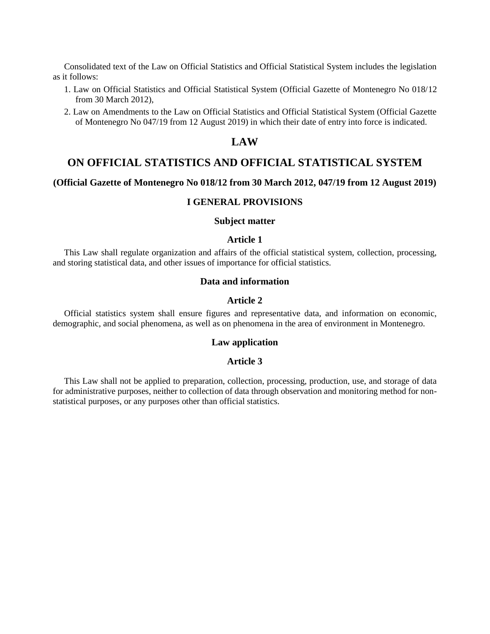Consolidated text of the Law on Official Statistics and Official Statistical System includes the legislation as it follows:

- 1. Law on Official Statistics and Official Statistical System (Official Gazette of Montenegro No 018/12 from 30 March 2012),
- 2. Law on Amendments to the Law on Official Statistics and Official Statistical System (Official Gazette of Montenegro No 047/19 from 12 August 2019) in which their date of entry into force is indicated.

# **LAW**

# **ON OFFICIAL STATISTICS AND OFFICIAL STATISTICAL SYSTEM**

## **(Official Gazette of Montenegro No 018/12 from 30 March 2012, 047/19 from 12 August 2019)**

## **I GENERAL PROVISIONS**

## **Subject matter**

## **Article 1**

This Law shall regulate organization and affairs of the official statistical system, collection, processing, and storing statistical data, and other issues of importance for official statistics.

## **Data and information**

## **Article 2**

Official statistics system shall ensure figures and representative data, and information on economic, demographic, and social phenomena, as well as on phenomena in the area of environment in Montenegro.

## **Law application**

#### **Article 3**

This Law shall not be applied to preparation, collection, processing, production, use, and storage of data for administrative purposes, neither to collection of data through observation and monitoring method for nonstatistical purposes, or any purposes other than official statistics.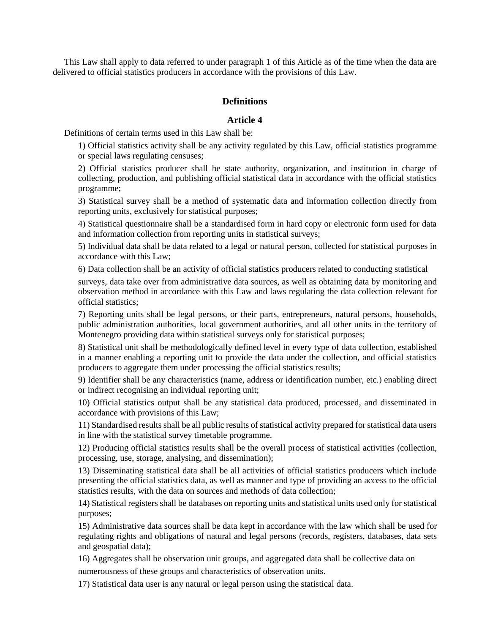This Law shall apply to data referred to under paragraph 1 of this Article as of the time when the data are delivered to official statistics producers in accordance with the provisions of this Law.

# **Definitions**

# **Article 4**

Definitions of certain terms used in this Law shall be:

1) Official statistics activity shall be any activity regulated by this Law, official statistics programme or special laws regulating censuses;

2) Official statistics producer shall be state authority, organization, and institution in charge of collecting, production, and publishing official statistical data in accordance with the official statistics programme;

3) Statistical survey shall be a method of systematic data and information collection directly from reporting units, exclusively for statistical purposes;

4) Statistical questionnaire shall be a standardised form in hard copy or electronic form used for data and information collection from reporting units in statistical surveys;

5) Individual data shall be data related to a legal or natural person, collected for statistical purposes in accordance with this Law;

6) Data collection shall be an activity of official statistics producers related to conducting statistical

surveys, data take over from administrative data sources, as well as obtaining data by monitoring and observation method in accordance with this Law and laws regulating the data collection relevant for official statistics;

7) Reporting units shall be legal persons, or their parts, entrepreneurs, natural persons, households, public administration authorities, local government authorities, and all other units in the territory of Montenegro providing data within statistical surveys only for statistical purposes;

8) Statistical unit shall be methodologically defined level in every type of data collection, established in a manner enabling a reporting unit to provide the data under the collection, and official statistics producers to aggregate them under processing the official statistics results;

9) Identifier shall be any characteristics (name, address or identification number, etc.) enabling direct or indirect recognising an individual reporting unit;

10) Official statistics output shall be any statistical data produced, processed, and disseminated in accordance with provisions of this Law;

11) Standardised results shall be all public results of statistical activity prepared for statistical data users in line with the statistical survey timetable programme.

12) Producing official statistics results shall be the overall process of statistical activities (collection, processing, use, storage, analysing, and dissemination);

13) Disseminating statistical data shall be all activities of official statistics producers which include presenting the official statistics data, as well as manner and type of providing an access to the official statistics results, with the data on sources and methods of data collection;

14) Statistical registers shall be databases on reporting units and statistical units used only for statistical purposes;

15) Administrative data sources shall be data kept in accordance with the law which shall be used for regulating rights and obligations of natural and legal persons (records, registers, databases, data sets and geospatial data);

16) Aggregates shall be observation unit groups, and aggregated data shall be collective data on

numerousness of these groups and characteristics of observation units.

17) Statistical data user is any natural or legal person using the statistical data.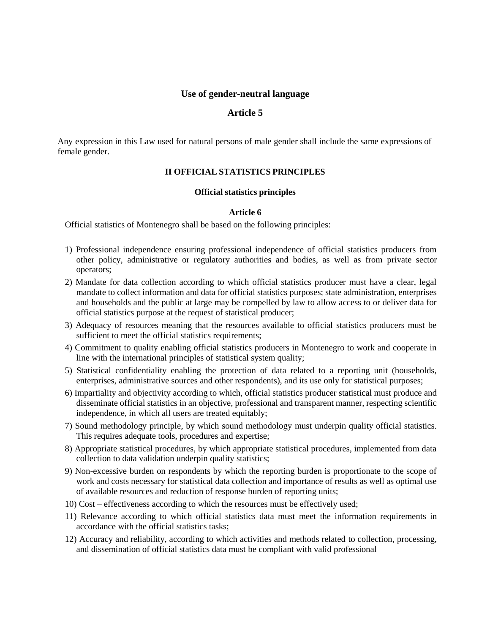# **Use of gender-neutral language**

# **Article 5**

Any expression in this Law used for natural persons of male gender shall include the same expressions of female gender.

# **II OFFICIAL STATISTICS PRINCIPLES**

## **Official statistics principles**

# **Article 6**

Official statistics of Montenegro shall be based on the following principles:

- 1) Professional independence ensuring professional independence of official statistics producers from other policy, administrative or regulatory authorities and bodies, as well as from private sector operators;
- 2) Mandate for data collection according to which official statistics producer must have a clear, legal mandate to collect information and data for official statistics purposes; state administration, enterprises and households and the public at large may be compelled by law to allow access to or deliver data for official statistics purpose at the request of statistical producer;
- 3) Adequacy of resources meaning that the resources available to official statistics producers must be sufficient to meet the official statistics requirements;
- 4) Commitment to quality enabling official statistics producers in Montenegro to work and cooperate in line with the international principles of statistical system quality;
- 5) Statistical confidentiality enabling the protection of data related to a reporting unit (households, enterprises, administrative sources and other respondents), and its use only for statistical purposes;
- 6) Impartiality and objectivity according to which, official statistics producer statistical must produce and disseminate official statistics in an objective, professional and transparent manner, respecting scientific independence, in which all users are treated equitably;
- 7) Sound methodology principle, by which sound methodology must underpin quality official statistics. This requires adequate tools, procedures and expertise;
- 8) Appropriate statistical procedures, by which appropriate statistical procedures, implemented from data collection to data validation underpin quality statistics;
- 9) Non-excessive burden on respondents by which the reporting burden is proportionate to the scope of work and costs necessary for statistical data collection and importance of results as well as optimal use of available resources and reduction of response burden of reporting units;
- 10) Cost effectiveness according to which the resources must be effectively used;
- 11) Relevance according to which official statistics data must meet the information requirements in accordance with the official statistics tasks;
- 12) Accuracy and reliability, according to which activities and methods related to collection, processing, and dissemination of official statistics data must be compliant with valid professional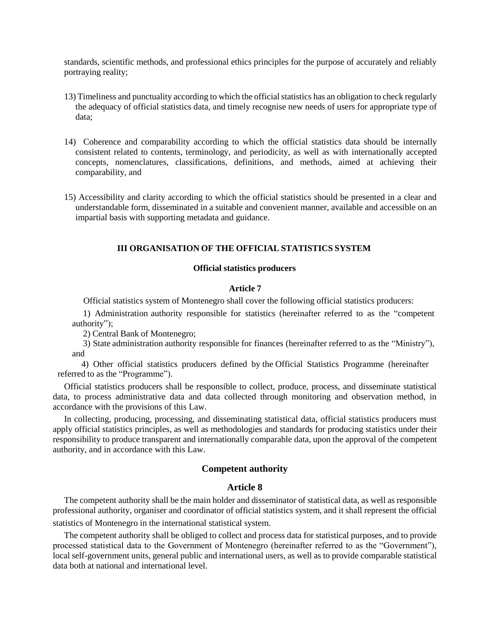standards, scientific methods, and professional ethics principles for the purpose of accurately and reliably portraying reality;

- 13) Timeliness and punctuality according to which the official statistics has an obligation to check regularly the adequacy of official statistics data, and timely recognise new needs of users for appropriate type of data;
- 14) Coherence and comparability according to which the official statistics data should be internally consistent related to contents, terminology, and periodicity, as well as with internationally accepted concepts, nomenclatures, classifications, definitions, and methods, aimed at achieving their comparability, and
- 15) Accessibility and clarity according to which the official statistics should be presented in a clear and understandable form, disseminated in a suitable and convenient manner, available and accessible on an impartial basis with supporting metadata and guidance.

## **III ORGANISATION OF THE OFFICIAL STATISTICS SYSTEM**

### **Official statistics producers**

## **Article 7**

Official statistics system of Montenegro shall cover the following official statistics producers:

1) Administration authority responsible for statistics (hereinafter referred to as the "competent authority");

2) Central Bank of Montenegro;

 3) State administration authority responsible for finances (hereinafter referred to as the "Ministry"), and

4) Other official statistics producers defined by the Official Statistics Programme (hereinafter referred to as the "Programme").

Official statistics producers shall be responsible to collect, produce, process, and disseminate statistical data, to process administrative data and data collected through monitoring and observation method, in accordance with the provisions of this Law.

In collecting, producing, processing, and disseminating statistical data, official statistics producers must apply official statistics principles, as well as methodologies and standards for producing statistics under their responsibility to produce transparent and internationally comparable data, upon the approval of the competent authority, and in accordance with this Law.

# **Competent authority**

## **Article 8**

The competent authority shall be the main holder and disseminator of statistical data, as well as responsible professional authority, organiser and coordinator of official statistics system, and it shall represent the official statistics of Montenegro in the international statistical system.

The competent authority shall be obliged to collect and process data for statistical purposes, and to provide processed statistical data to the Government of Montenegro (hereinafter referred to as the "Government"), local self-government units, general public and international users, as well as to provide comparable statistical data both at national and international level.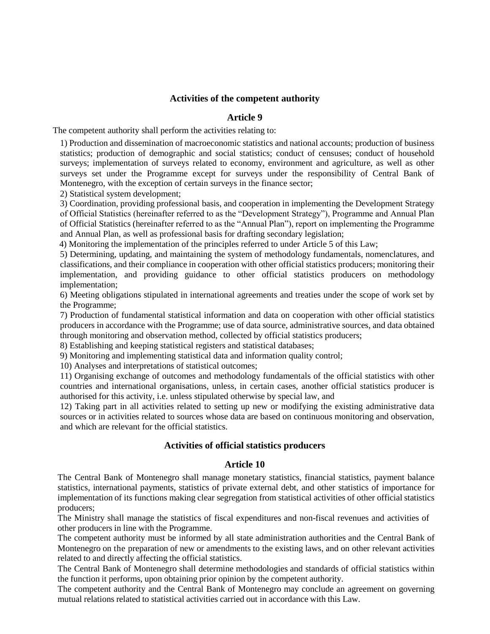# **Activities of the competent authority**

## **Article 9**

The competent authority shall perform the activities relating to:

1) Production and dissemination of macroeconomic statistics and national accounts; production of business statistics; production of demographic and social statistics; conduct of censuses; conduct of household surveys; implementation of surveys related to economy, environment and agriculture, as well as other surveys set under the Programme except for surveys under the responsibility of Central Bank of Montenegro, with the exception of certain surveys in the finance sector;

2) Statistical system development;

3) Coordination, providing professional basis, and cooperation in implementing the Development Strategy of Official Statistics (hereinafter referred to as the "Development Strategy"), Programme and Annual Plan of Official Statistics (hereinafter referred to as the "Annual Plan"), report on implementing the Programme and Annual Plan, as well as professional basis for drafting secondary legislation;

4) Monitoring the implementation of the principles referred to under Article 5 of this Law;

5) Determining, updating, and maintaining the system of methodology fundamentals, nomenclatures, and classifications, and their compliance in cooperation with other official statistics producers; monitoring their implementation, and providing guidance to other official statistics producers on methodology implementation;

6) Meeting obligations stipulated in international agreements and treaties under the scope of work set by the Programme;

7) Production of fundamental statistical information and data on cooperation with other official statistics producers in accordance with the Programme; use of data source, administrative sources, and data obtained through monitoring and observation method, collected by official statistics producers;

8) Establishing and keeping statistical registers and statistical databases;

9) Monitoring and implementing statistical data and information quality control;

10) Analyses and interpretations of statistical outcomes;

11) Organising exchange of outcomes and methodology fundamentals of the official statistics with other countries and international organisations, unless, in certain cases, another official statistics producer is authorised for this activity, i.e. unless stipulated otherwise by special law, and

12) Taking part in all activities related to setting up new or modifying the existing administrative data sources or in activities related to sources whose data are based on continuous monitoring and observation, and which are relevant for the official statistics.

## **Activities of official statistics producers**

## **Article 10**

The Central Bank of Montenegro shall manage monetary statistics, financial statistics, payment balance statistics, international payments, statistics of private external debt, and other statistics of importance for implementation of its functions making clear segregation from statistical activities of other official statistics producers;

The Ministry shall manage the statistics of fiscal expenditures and non-fiscal revenues and activities of other producers in line with the Programme.

The competent authority must be informed by all state administration authorities and the Central Bank of Montenegro on the preparation of new or amendments to the existing laws, and on other relevant activities related to and directly affecting the official statistics.

The Central Bank of Montenegro shall determine methodologies and standards of official statistics within the function it performs, upon obtaining prior opinion by the competent authority.

The competent authority and the Central Bank of Montenegro may conclude an agreement on governing mutual relations related to statistical activities carried out in accordance with this Law.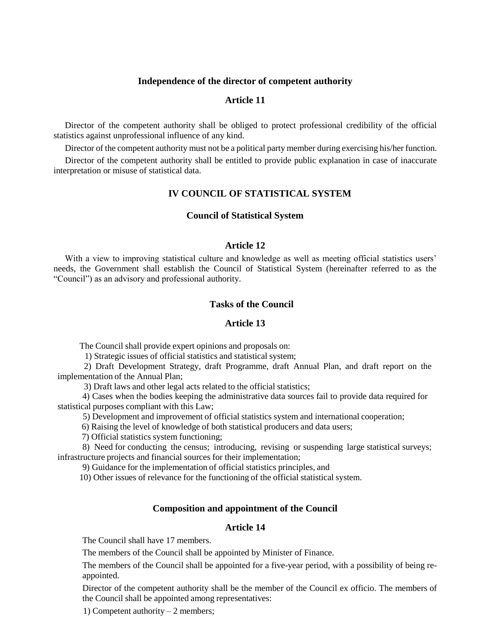## **Independence of the director of competent authority**

# **Article 11**

Director of the competent authority shall be obliged to protect professional credibility of the official statistics against unprofessional influence of any kind.

Director of the competent authority must not be a political party member during exercising his/her function.

Director of the competent authority shall be entitled to provide public explanation in case of inaccurate interpretation or misuse of statistical data.

# **IV COUNCIL OF STATISTICAL SYSTEM**

## **Council of Statistical System**

### **Article 12**

With a view to improving statistical culture and knowledge as well as meeting official statistics users' needs, the Government shall establish the Council of Statistical System (hereinafter referred to as the "Council") as an advisory and professional authority.

# **Tasks of the Council**

#### **Article 13**

The Council shall provide expert opinions and proposals on:

1) Strategic issues of official statistics and statistical system;

2) Draft Development Strategy, draft Programme, draft Annual Plan, and draft report on the implementation of the Annual Plan;

3) Draft laws and other legal acts related to the official statistics;

4) Cases when the bodies keeping the administrative data sources fail to provide data required for statistical purposes compliant with this Law;

5) Development and improvement of official statistics system and international cooperation;

6) Raising the level of knowledge of both statistical producers and data users;

7) Official statistics system functioning;

8) Need for conducting the census; introducing, revising or suspending large statistical surveys; infrastructure projects and financial sources for their implementation;

9) Guidance for the implementation of official statistics principles, and

10) Other issues of relevance for the functioning of the official statistical system.

# **Composition and appointment of the Council**

## **Article 14**

The Council shall have 17 members.

The members of the Council shall be appointed by Minister of Finance.

The members of the Council shall be appointed for a five-year period, with a possibility of being reappointed.

Director of the competent authority shall be the member of the Council ex officio. The members of the Council shall be appointed among representatives:

1) Competent authority – 2 members;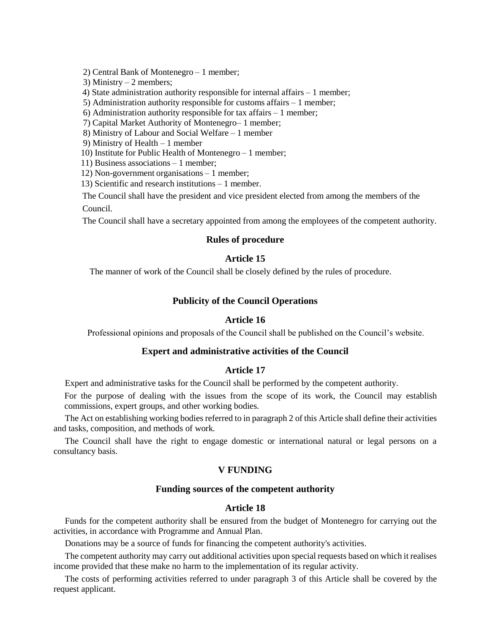2) Central Bank of Montenegro – 1 member;

3) Ministry  $-2$  members;

4) State administration authority responsible for internal affairs – 1 member;

5) Administration authority responsible for customs affairs – 1 member;

6) Administration authority responsible for tax affairs – 1 member;

7) Capital Market Authority of Montenegro– 1 member;

8) Ministry of Labour and Social Welfare – 1 member

9) Ministry of Health – 1 member

10) Institute for Public Health of Montenegro – 1 member;

11) Business associations – 1 member;

12) Non-government organisations – 1 member;

13) Scientific and research institutions – 1 member.

The Council shall have the president and vice president elected from among the members of the Council.

The Council shall have a secretary appointed from among the employees of the competent authority.

## **Rules of procedure**

## **Article 15**

The manner of work of the Council shall be closely defined by the rules of procedure.

## **Publicity of the Council Operations**

## **Article 16**

Professional opinions and proposals of the Council shall be published on the Council's website.

## **Expert and administrative activities of the Council**

# **Article 17**

Expert and administrative tasks for the Council shall be performed by the competent authority.

For the purpose of dealing with the issues from the scope of its work, the Council may establish commissions, expert groups, and other working bodies.

The Act on establishing working bodies referred to in paragraph 2 of this Article shall define their activities and tasks, composition, and methods of work.

The Council shall have the right to engage domestic or international natural or legal persons on a consultancy basis.

## **V FUNDING**

## **Funding sources of the competent authority**

# **Article 18**

Funds for the competent authority shall be ensured from the budget of Montenegro for carrying out the activities, in accordance with Programme and Annual Plan.

Donations may be a source of funds for financing the competent authority's activities.

The competent authority may carry out additional activities upon special requests based on which it realises income provided that these make no harm to the implementation of its regular activity.

The costs of performing activities referred to under paragraph 3 of this Article shall be covered by the request applicant.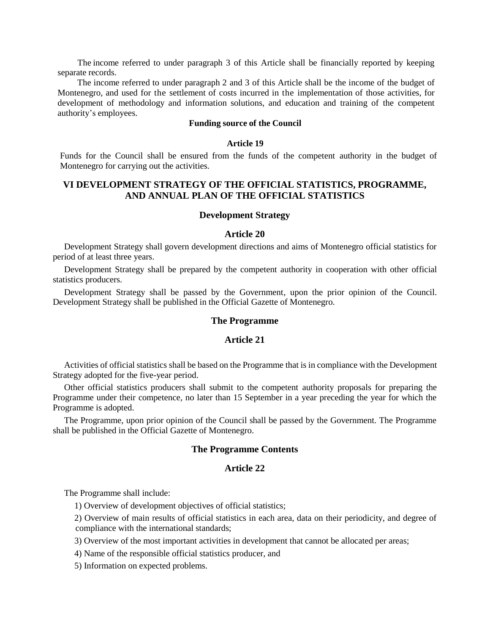The income referred to under paragraph 3 of this Article shall be financially reported by keeping separate records.

 The income referred to under paragraph 2 and 3 of this Article shall be the income of the budget of Montenegro, and used for the settlement of costs incurred in the implementation of those activities, for development of methodology and information solutions, and education and training of the competent authority's employees.

# **Funding source of the Council**

### **Article 19**

Funds for the Council shall be ensured from the funds of the competent authority in the budget of Montenegro for carrying out the activities.

# **VI DEVELOPMENT STRATEGY OF THE OFFICIAL STATISTICS, PROGRAMME, AND ANNUAL PLAN OF THE OFFICIAL STATISTICS**

### **Development Strategy**

### **Article 20**

Development Strategy shall govern development directions and aims of Montenegro official statistics for period of at least three years.

Development Strategy shall be prepared by the competent authority in cooperation with other official statistics producers.

Development Strategy shall be passed by the Government, upon the prior opinion of the Council. Development Strategy shall be published in the Official Gazette of Montenegro.

## **The Programme**

### **Article 21**

Activities of official statistics shall be based on the Programme that is in compliance with the Development Strategy adopted for the five-year period.

Other official statistics producers shall submit to the competent authority proposals for preparing the Programme under their competence, no later than 15 September in a year preceding the year for which the Programme is adopted.

The Programme, upon prior opinion of the Council shall be passed by the Government. The Programme shall be published in the Official Gazette of Montenegro.

## **The Programme Contents**

## **Article 22**

The Programme shall include:

1) Overview of development objectives of official statistics;

2) Overview of main results of official statistics in each area, data on their periodicity, and degree of compliance with the international standards;

3) Overview of the most important activities in development that cannot be allocated per areas;

4) Name of the responsible official statistics producer, and

5) Information on expected problems.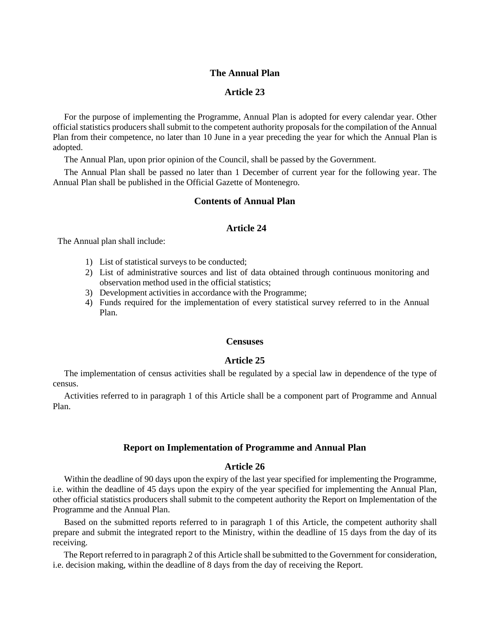# **The Annual Plan**

# **Article 23**

For the purpose of implementing the Programme, Annual Plan is adopted for every calendar year. Other official statistics producers shall submit to the competent authority proposals for the compilation of the Annual Plan from their competence, no later than 10 June in a year preceding the year for which the Annual Plan is adopted.

The Annual Plan, upon prior opinion of the Council, shall be passed by the Government.

The Annual Plan shall be passed no later than 1 December of current year for the following year. The Annual Plan shall be published in the Official Gazette of Montenegro.

## **Contents of Annual Plan**

## **Article 24**

The Annual plan shall include:

- 1) List of statistical surveys to be conducted;
- 2) List of administrative sources and list of data obtained through continuous monitoring and observation method used in the official statistics;
- 3) Development activities in accordance with the Programme;
- 4) Funds required for the implementation of every statistical survey referred to in the Annual Plan.

## **Censuses**

## **Article 25**

The implementation of census activities shall be regulated by a special law in dependence of the type of census.

Activities referred to in paragraph 1 of this Article shall be a component part of Programme and Annual Plan.

## **Report on Implementation of Programme and Annual Plan**

## **Article 26**

Within the deadline of 90 days upon the expiry of the last year specified for implementing the Programme, i.e. within the deadline of 45 days upon the expiry of the year specified for implementing the Annual Plan, other official statistics producers shall submit to the competent authority the Report on Implementation of the Programme and the Annual Plan.

Based on the submitted reports referred to in paragraph 1 of this Article, the competent authority shall prepare and submit the integrated report to the Ministry, within the deadline of 15 days from the day of its receiving.

 The Report referred to in paragraph 2 of this Article shall be submitted to the Government for consideration, i.e. decision making, within the deadline of 8 days from the day of receiving the Report.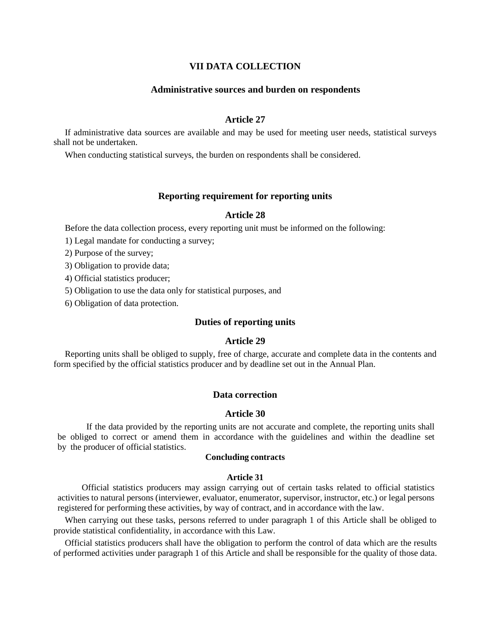# **VII DATA COLLECTION**

### **Administrative sources and burden on respondents**

# **Article 27**

If administrative data sources are available and may be used for meeting user needs, statistical surveys shall not be undertaken.

When conducting statistical surveys, the burden on respondents shall be considered.

## **Reporting requirement for reporting units**

## **Article 28**

Before the data collection process, every reporting unit must be informed on the following:

1) Legal mandate for conducting a survey;

2) Purpose of the survey;

3) Obligation to provide data;

4) Official statistics producer;

5) Obligation to use the data only for statistical purposes, and

6) Obligation of data protection.

## **Duties of reporting units**

## **Article 29**

Reporting units shall be obliged to supply, free of charge, accurate and complete data in the contents and form specified by the official statistics producer and by deadline set out in the Annual Plan.

### **Data correction**

## **Article 30**

If the data provided by the reporting units are not accurate and complete, the reporting units shall be obliged to correct or amend them in accordance with the guidelines and within the deadline set by the producer of official statistics.

## **Concluding contracts**

## **Article 31**

Official statistics producers may assign carrying out of certain tasks related to official statistics activities to natural persons (interviewer, evaluator, enumerator, supervisor, instructor, etc.) or legal persons registered for performing these activities, by way of contract, and in accordance with the law.

When carrying out these tasks, persons referred to under paragraph 1 of this Article shall be obliged to provide statistical confidentiality, in accordance with this Law.

Official statistics producers shall have the obligation to perform the control of data which are the results of performed activities under paragraph 1 of this Article and shall be responsible for the quality of those data.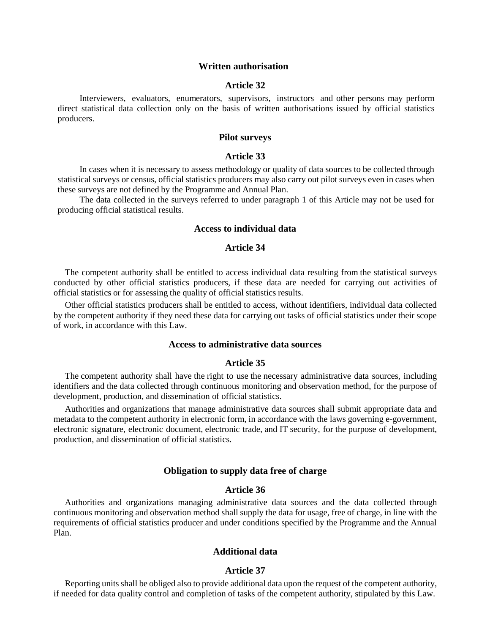### **Written authorisation**

## **Article 32**

Interviewers, evaluators, enumerators, supervisors, instructors and other persons may perform direct statistical data collection only on the basis of written authorisations issued by official statistics producers.

## **Pilot surveys**

## **Article 33**

In cases when it is necessary to assess methodology or quality of data sources to be collected through statistical surveys or census, official statistics producers may also carry out pilot surveys even in cases when these surveys are not defined by the Programme and Annual Plan.

The data collected in the surveys referred to under paragraph 1 of this Article may not be used for producing official statistical results.

## **Access to individual data**

### **Article 34**

The competent authority shall be entitled to access individual data resulting from the statistical surveys conducted by other official statistics producers, if these data are needed for carrying out activities of official statistics or for assessing the quality of official statistics results.

Other official statistics producers shall be entitled to access, without identifiers, individual data collected by the competent authority if they need these data for carrying out tasks of official statistics under their scope of work, in accordance with this Law.

### **Access to administrative data sources**

## **Article 35**

The competent authority shall have the right to use the necessary administrative data sources, including identifiers and the data collected through continuous monitoring and observation method, for the purpose of development, production, and dissemination of official statistics.

Authorities and organizations that manage administrative data sources shall submit appropriate data and metadata to the competent authority in electronic form, in accordance with the laws governing e-government, electronic signature, electronic document, electronic trade, and IT security, for the purpose of development, production, and dissemination of official statistics.

## **Obligation to supply data free of charge**

## **Article 36**

Authorities and organizations managing administrative data sources and the data collected through continuous monitoring and observation method shall supply the data for usage, free of charge, in line with the requirements of official statistics producer and under conditions specified by the Programme and the Annual Plan.

## **Additional data**

#### **Article 37**

Reporting units shall be obliged also to provide additional data upon the request of the competent authority, if needed for data quality control and completion of tasks of the competent authority, stipulated by this Law.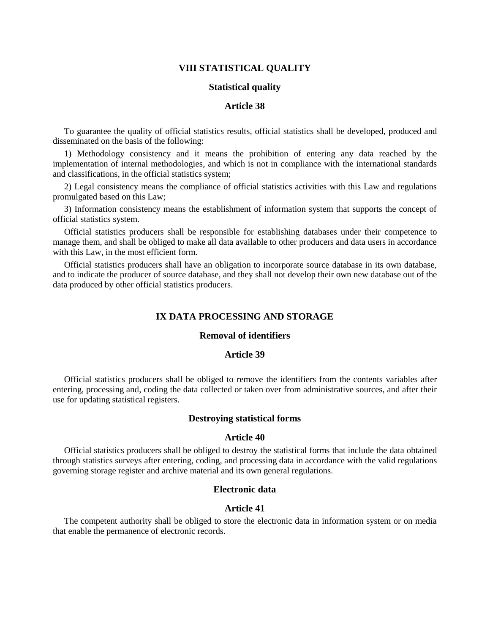## **VIII STATISTICAL QUALITY**

## **Statistical quality**

## **Article 38**

To guarantee the quality of official statistics results, official statistics shall be developed, produced and disseminated on the basis of the following:

1) Methodology consistency and it means the prohibition of entering any data reached by the implementation of internal methodologies, and which is not in compliance with the international standards and classifications, in the official statistics system;

2) Legal consistency means the compliance of official statistics activities with this Law and regulations promulgated based on this Law;

3) Information consistency means the establishment of information system that supports the concept of official statistics system.

Official statistics producers shall be responsible for establishing databases under their competence to manage them, and shall be obliged to make all data available to other producers and data users in accordance with this Law, in the most efficient form.

Official statistics producers shall have an obligation to incorporate source database in its own database, and to indicate the producer of source database, and they shall not develop their own new database out of the data produced by other official statistics producers.

# **IX DATA PROCESSING AND STORAGE**

# **Removal of identifiers**

### **Article 39**

Official statistics producers shall be obliged to remove the identifiers from the contents variables after entering, processing and, coding the data collected or taken over from administrative sources, and after their use for updating statistical registers.

## **Destroying statistical forms**

## **Article 40**

Official statistics producers shall be obliged to destroy the statistical forms that include the data obtained through statistics surveys after entering, coding, and processing data in accordance with the valid regulations governing storage register and archive material and its own general regulations.

## **Electronic data**

## **Article 41**

The competent authority shall be obliged to store the electronic data in information system or on media that enable the permanence of electronic records.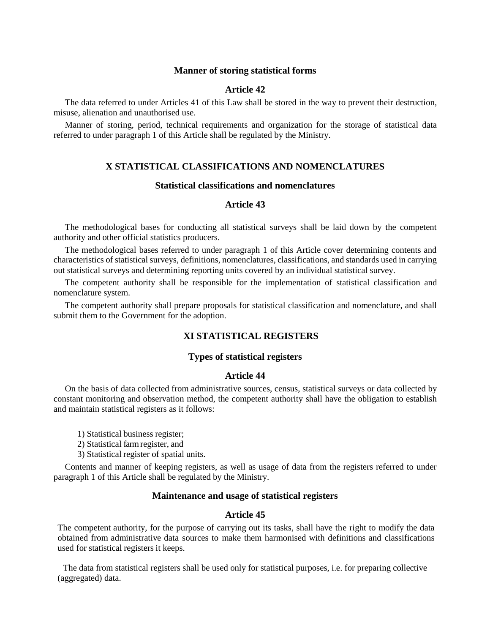## **Manner of storing statistical forms**

## **Article 42**

The data referred to under Articles 41 of this Law shall be stored in the way to prevent their destruction, misuse, alienation and unauthorised use.

Manner of storing, period, technical requirements and organization for the storage of statistical data referred to under paragraph 1 of this Article shall be regulated by the Ministry.

## **X STATISTICAL CLASSIFICATIONS AND NOMENCLATURES**

## **Statistical classifications and nomenclatures**

# **Article 43**

The methodological bases for conducting all statistical surveys shall be laid down by the competent authority and other official statistics producers.

The methodological bases referred to under paragraph 1 of this Article cover determining contents and characteristics of statistical surveys, definitions, nomenclatures, classifications, and standards used in carrying out statistical surveys and determining reporting units covered by an individual statistical survey.

The competent authority shall be responsible for the implementation of statistical classification and nomenclature system.

The competent authority shall prepare proposals for statistical classification and nomenclature, and shall submit them to the Government for the adoption.

# **XI STATISTICAL REGISTERS**

## **Types of statistical registers**

### **Article 44**

On the basis of data collected from administrative sources, census, statistical surveys or data collected by constant monitoring and observation method, the competent authority shall have the obligation to establish and maintain statistical registers as it follows:

- 1) Statistical business register;
- 2) Statistical farm register, and
- 3) Statistical register of spatial units.

Contents and manner of keeping registers, as well as usage of data from the registers referred to under paragraph 1 of this Article shall be regulated by the Ministry.

## **Maintenance and usage of statistical registers**

## **Article 45**

The competent authority, for the purpose of carrying out its tasks, shall have the right to modify the data obtained from administrative data sources to make them harmonised with definitions and classifications used for statistical registers it keeps.

The data from statistical registers shall be used only for statistical purposes, i.e. for preparing collective (aggregated) data.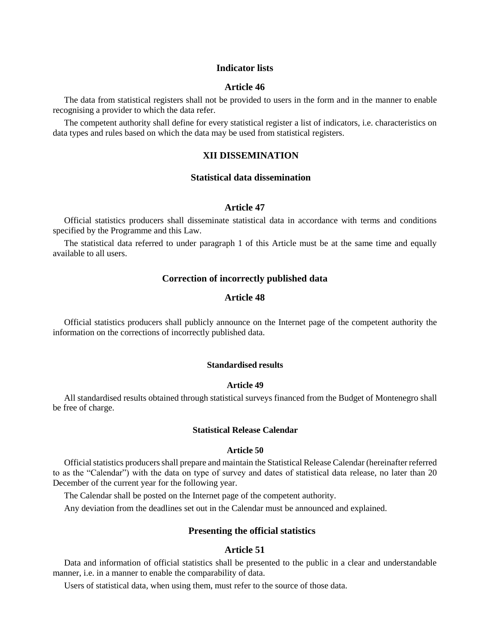## **Indicator lists**

#### **Article 46**

The data from statistical registers shall not be provided to users in the form and in the manner to enable recognising a provider to which the data refer.

The competent authority shall define for every statistical register a list of indicators, i.e. characteristics on data types and rules based on which the data may be used from statistical registers.

# **XII DISSEMINATION**

# **Statistical data dissemination**

# **Article 47**

Official statistics producers shall disseminate statistical data in accordance with terms and conditions specified by the Programme and this Law.

The statistical data referred to under paragraph 1 of this Article must be at the same time and equally available to all users.

## **Correction of incorrectly published data**

## **Article 48**

Official statistics producers shall publicly announce on the Internet page of the competent authority the information on the corrections of incorrectly published data.

## **Standardised results**

#### **Article 49**

All standardised results obtained through statistical surveys financed from the Budget of Montenegro shall be free of charge.

### **Statistical Release Calendar**

### **Article 50**

Official statistics producers shall prepare and maintain the Statistical Release Calendar (hereinafter referred to as the "Calendar") with the data on type of survey and dates of statistical data release, no later than 20 December of the current year for the following year.

The Calendar shall be posted on the Internet page of the competent authority.

Any deviation from the deadlines set out in the Calendar must be announced and explained.

## **Presenting the official statistics**

## **Article 51**

Data and information of official statistics shall be presented to the public in a clear and understandable manner, i.e. in a manner to enable the comparability of data.

Users of statistical data, when using them, must refer to the source of those data.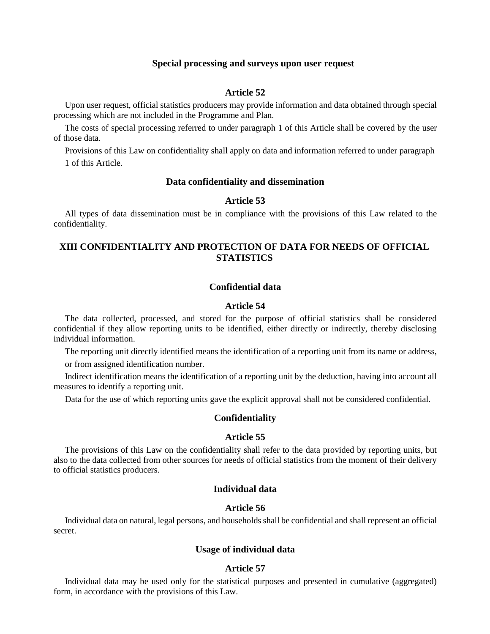### **Special processing and surveys upon user request**

# **Article 52**

Upon user request, official statistics producers may provide information and data obtained through special processing which are not included in the Programme and Plan.

The costs of special processing referred to under paragraph 1 of this Article shall be covered by the user of those data.

Provisions of this Law on confidentiality shall apply on data and information referred to under paragraph 1 of this Article.

## **Data confidentiality and dissemination**

## **Article 53**

All types of data dissemination must be in compliance with the provisions of this Law related to the confidentiality.

# **XIII CONFIDENTIALITY AND PROTECTION OF DATA FOR NEEDS OF OFFICIAL STATISTICS**

# **Confidential data**

## **Article 54**

The data collected, processed, and stored for the purpose of official statistics shall be considered confidential if they allow reporting units to be identified, either directly or indirectly, thereby disclosing individual information.

The reporting unit directly identified means the identification of a reporting unit from its name or address,

or from assigned identification number.

Indirect identification means the identification of a reporting unit by the deduction, having into account all measures to identify a reporting unit.

Data for the use of which reporting units gave the explicit approval shall not be considered confidential.

### **Confidentiality**

### **Article 55**

The provisions of this Law on the confidentiality shall refer to the data provided by reporting units, but also to the data collected from other sources for needs of official statistics from the moment of their delivery to official statistics producers.

# **Individual data**

## **Article 56**

Individual data on natural, legal persons, and households shall be confidential and shall represent an official secret.

# **Usage of individual data**

## **Article 57**

Individual data may be used only for the statistical purposes and presented in cumulative (aggregated) form, in accordance with the provisions of this Law.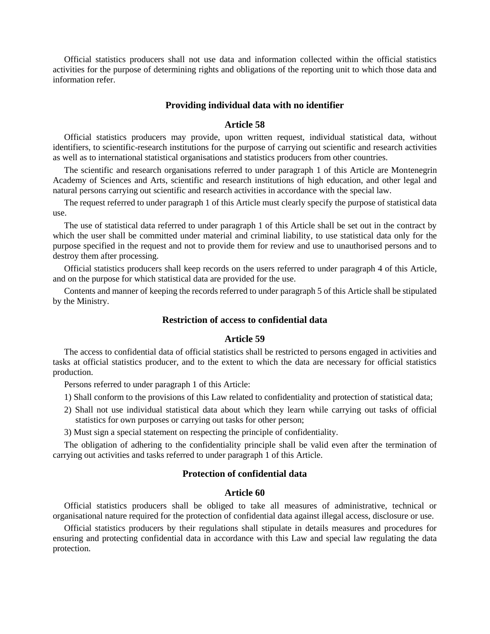Official statistics producers shall not use data and information collected within the official statistics activities for the purpose of determining rights and obligations of the reporting unit to which those data and information refer.

## **Providing individual data with no identifier**

## **Article 58**

Official statistics producers may provide, upon written request, individual statistical data, without identifiers, to scientific-research institutions for the purpose of carrying out scientific and research activities as well as to international statistical organisations and statistics producers from other countries.

The scientific and research organisations referred to under paragraph 1 of this Article are Montenegrin Academy of Sciences and Arts, scientific and research institutions of high education, and other legal and natural persons carrying out scientific and research activities in accordance with the special law.

The request referred to under paragraph 1 of this Article must clearly specify the purpose of statistical data use.

The use of statistical data referred to under paragraph 1 of this Article shall be set out in the contract by which the user shall be committed under material and criminal liability, to use statistical data only for the purpose specified in the request and not to provide them for review and use to unauthorised persons and to destroy them after processing.

Official statistics producers shall keep records on the users referred to under paragraph 4 of this Article, and on the purpose for which statistical data are provided for the use.

Contents and manner of keeping the records referred to under paragraph 5 of this Article shall be stipulated by the Ministry.

## **Restriction of access to confidential data**

# **Article 59**

The access to confidential data of official statistics shall be restricted to persons engaged in activities and tasks at official statistics producer, and to the extent to which the data are necessary for official statistics production.

Persons referred to under paragraph 1 of this Article:

- 1) Shall conform to the provisions of this Law related to confidentiality and protection of statistical data;
- 2) Shall not use individual statistical data about which they learn while carrying out tasks of official statistics for own purposes or carrying out tasks for other person;

3) Must sign a special statement on respecting the principle of confidentiality.

The obligation of adhering to the confidentiality principle shall be valid even after the termination of carrying out activities and tasks referred to under paragraph 1 of this Article.

## **Protection of confidential data**

## **Article 60**

Official statistics producers shall be obliged to take all measures of administrative, technical or organisational nature required for the protection of confidential data against illegal access, disclosure or use.

Official statistics producers by their regulations shall stipulate in details measures and procedures for ensuring and protecting confidential data in accordance with this Law and special law regulating the data protection.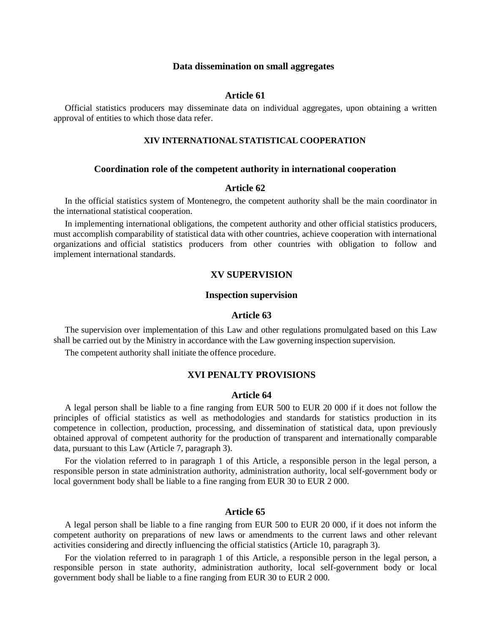## **Data dissemination on small aggregates**

#### **Article 61**

Official statistics producers may disseminate data on individual aggregates, upon obtaining a written approval of entities to which those data refer.

## **XIV INTERNATIONAL STATISTICAL COOPERATION**

## **Coordination role of the competent authority in international cooperation**

### **Article 62**

In the official statistics system of Montenegro, the competent authority shall be the main coordinator in the international statistical cooperation.

In implementing international obligations, the competent authority and other official statistics producers, must accomplish comparability of statistical data with other countries, achieve cooperation with international organizations and official statistics producers from other countries with obligation to follow and implement international standards.

## **XV SUPERVISION**

## **Inspection supervision**

### **Article 63**

The supervision over implementation of this Law and other regulations promulgated based on this Law shall be carried out by the Ministry in accordance with the Law governing inspection supervision.

The competent authority shall initiate the offence procedure.

# **XVI PENALTY PROVISIONS**

## **Article 64**

A legal person shall be liable to a fine ranging from EUR 500 to EUR 20 000 if it does not follow the principles of official statistics as well as methodologies and standards for statistics production in its competence in collection, production, processing, and dissemination of statistical data, upon previously obtained approval of competent authority for the production of transparent and internationally comparable data, pursuant to this Law (Article 7, paragraph 3).

For the violation referred to in paragraph 1 of this Article, a responsible person in the legal person, a responsible person in state administration authority, administration authority, local self-government body or local government body shall be liable to a fine ranging from EUR 30 to EUR 2 000.

## **Article 65**

A legal person shall be liable to a fine ranging from EUR 500 to EUR 20 000, if it does not inform the competent authority on preparations of new laws or amendments to the current laws and other relevant activities considering and directly influencing the official statistics (Article 10, paragraph 3).

For the violation referred to in paragraph 1 of this Article, a responsible person in the legal person, a responsible person in state authority, administration authority, local self-government body or local government body shall be liable to a fine ranging from EUR 30 to EUR 2 000.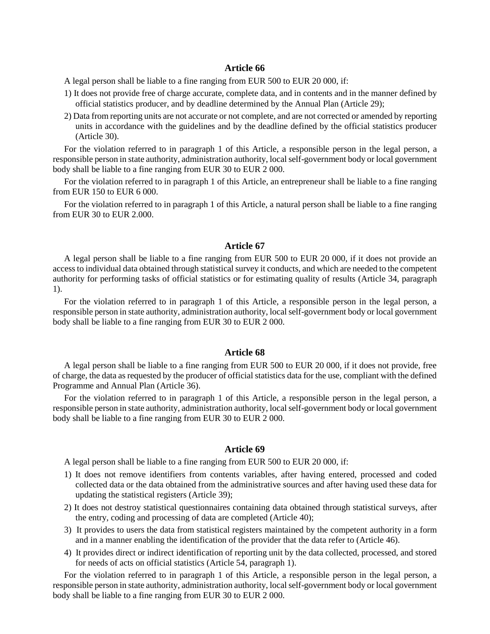# **Article 66**

A legal person shall be liable to a fine ranging from EUR 500 to EUR 20 000, if:

- 1) It does not provide free of charge accurate, complete data, and in contents and in the manner defined by official statistics producer, and by deadline determined by the Annual Plan (Article 29);
- 2) Data from reporting units are not accurate or not complete, and are not corrected or amended by reporting units in accordance with the guidelines and by the deadline defined by the official statistics producer (Article 30).

For the violation referred to in paragraph 1 of this Article, a responsible person in the legal person, a responsible person in state authority, administration authority, local self-government body or local government body shall be liable to a fine ranging from EUR 30 to EUR 2 000.

For the violation referred to in paragraph 1 of this Article, an entrepreneur shall be liable to a fine ranging from EUR 150 to EUR 6 000.

For the violation referred to in paragraph 1 of this Article, a natural person shall be liable to a fine ranging from EUR 30 to EUR 2.000.

## **Article 67**

A legal person shall be liable to a fine ranging from EUR 500 to EUR 20 000, if it does not provide an access to individual data obtained through statistical survey it conducts, and which are needed to the competent authority for performing tasks of official statistics or for estimating quality of results (Article 34, paragraph 1).

For the violation referred to in paragraph 1 of this Article, a responsible person in the legal person, a responsible person in state authority, administration authority, local self-government body or local government body shall be liable to a fine ranging from EUR 30 to EUR 2 000.

### **Article 68**

A legal person shall be liable to a fine ranging from EUR 500 to EUR 20 000, if it does not provide, free of charge, the data as requested by the producer of official statistics data for the use, compliant with the defined Programme and Annual Plan (Article 36).

For the violation referred to in paragraph 1 of this Article, a responsible person in the legal person, a responsible person in state authority, administration authority, local self-government body or local government body shall be liable to a fine ranging from EUR 30 to EUR 2 000.

## **Article 69**

A legal person shall be liable to a fine ranging from EUR 500 to EUR 20 000, if:

- 1) It does not remove identifiers from contents variables, after having entered, processed and coded collected data or the data obtained from the administrative sources and after having used these data for updating the statistical registers (Article 39);
- 2) It does not destroy statistical questionnaires containing data obtained through statistical surveys, after the entry, coding and processing of data are completed (Article 40);
- 3) It provides to users the data from statistical registers maintained by the competent authority in a form and in a manner enabling the identification of the provider that the data refer to (Article 46).
- 4) It provides direct or indirect identification of reporting unit by the data collected, processed, and stored for needs of acts on official statistics (Article 54, paragraph 1).

For the violation referred to in paragraph 1 of this Article, a responsible person in the legal person, a responsible person in state authority, administration authority, local self-government body or local government body shall be liable to a fine ranging from EUR 30 to EUR 2 000.